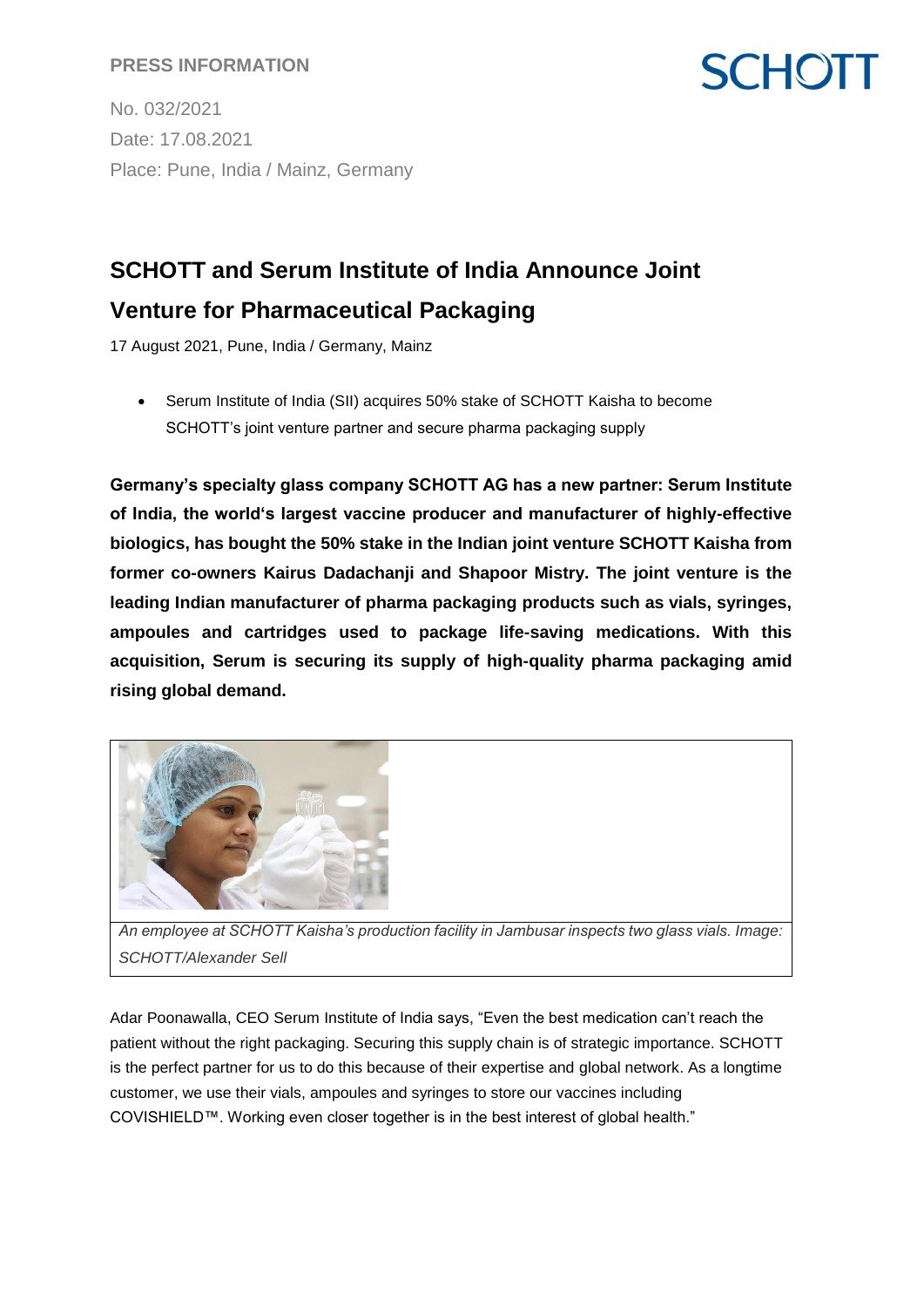#### **PRESS INFORMATION**

No. 032/2021 Date: 17.08.2021 Place: Pune, India / Mainz, Germany

### **SCHOTT and Serum Institute of India Announce Joint**

**SCHOTT** 

### **Venture for Pharmaceutical Packaging**

17 August 2021, Pune, India / Germany, Mainz

• Serum Institute of India (SII) acquires 50% stake of SCHOTT Kaisha to become SCHOTT's joint venture partner and secure pharma packaging supply

**Germany's specialty glass company SCHOTT AG has a new partner: Serum Institute of India, the world's largest vaccine producer and manufacturer of highly-effective biologics, has bought the 50% stake in the Indian joint venture SCHOTT Kaisha from former co-owners Kairus Dadachanji and Shapoor Mistry. The joint venture is the leading Indian manufacturer of pharma packaging products such as vials, syringes, ampoules and cartridges used to package life-saving medications. With this acquisition, Serum is securing its supply of high-quality pharma packaging amid rising global demand.**



*An employee at SCHOTT Kaisha's production facility in Jambusar inspects two glass vials. Image: SCHOTT/Alexander Sell*

Adar Poonawalla, CEO Serum Institute of India says, "Even the best medication can't reach the patient without the right packaging. Securing this supply chain is of strategic importance. SCHOTT is the perfect partner for us to do this because of their expertise and global network. As a longtime customer, we use their vials, ampoules and syringes to store our vaccines including COVISHIELD™. Working even closer together is in the best interest of global health."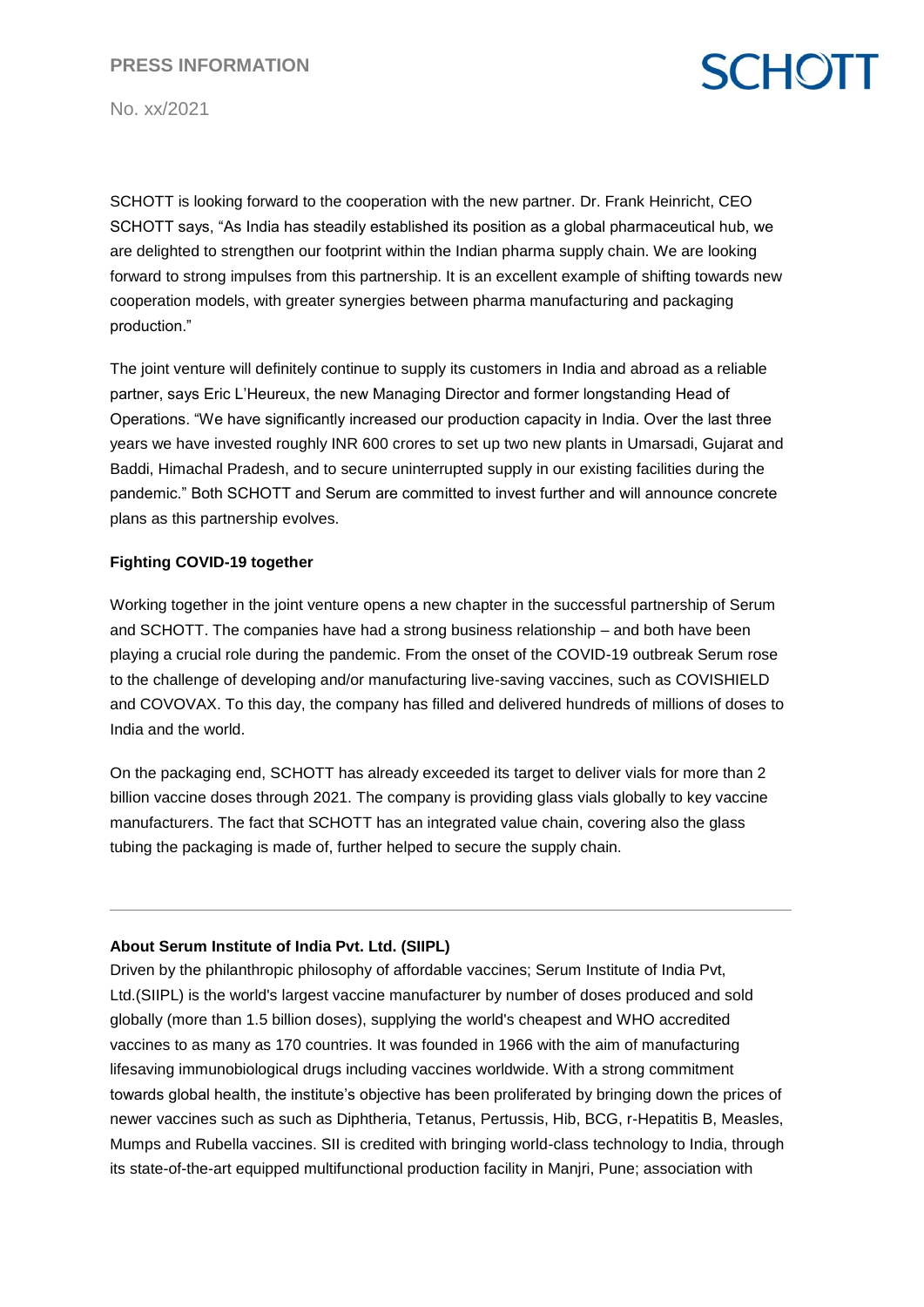# **SCHOTT**

No. xx/2021

SCHOTT is looking forward to the cooperation with the new partner. Dr. Frank Heinricht, CEO SCHOTT says, "As India has steadily established its position as a global pharmaceutical hub, we are delighted to strengthen our footprint within the Indian pharma supply chain. We are looking forward to strong impulses from this partnership. It is an excellent example of shifting towards new cooperation models, with greater synergies between pharma manufacturing and packaging production."

The joint venture will definitely continue to supply its customers in India and abroad as a reliable partner, says Eric L'Heureux, the new Managing Director and former longstanding Head of Operations. "We have significantly increased our production capacity in India. Over the last three years we have invested roughly INR 600 crores to set up two new plants in Umarsadi, Gujarat and Baddi, Himachal Pradesh, and to secure uninterrupted supply in our existing facilities during the pandemic." Both SCHOTT and Serum are committed to invest further and will announce concrete plans as this partnership evolves.

#### **Fighting COVID-19 together**

Working together in the joint venture opens a new chapter in the successful partnership of Serum and SCHOTT. The companies have had a strong business relationship – and both have been playing a crucial role during the pandemic. From the onset of the COVID-19 outbreak Serum rose to the challenge of developing and/or manufacturing live-saving vaccines, such as COVISHIELD and COVOVAX. To this day, the company has filled and delivered hundreds of millions of doses to India and the world.

On the packaging end, SCHOTT has already exceeded its target to deliver vials for more than 2 billion vaccine doses through 2021. The company is providing glass vials globally to key vaccine manufacturers. The fact that SCHOTT has an integrated value chain, covering also the glass tubing the packaging is made of, further helped to secure the supply chain.

#### **About Serum Institute of India Pvt. Ltd. (SIIPL)**

Driven by the philanthropic philosophy of affordable vaccines; Serum Institute of India Pvt, Ltd.(SIIPL) is the world's largest vaccine manufacturer by number of doses produced and sold globally (more than 1.5 billion doses), supplying the world's cheapest and WHO accredited vaccines to as many as 170 countries. It was founded in 1966 with the aim of manufacturing lifesaving immunobiological drugs including vaccines worldwide. With a strong commitment towards global health, the institute's objective has been proliferated by bringing down the prices of newer vaccines such as such as Diphtheria, Tetanus, Pertussis, Hib, BCG, r-Hepatitis B, Measles, Mumps and Rubella vaccines. SII is credited with bringing world-class technology to India, through its state-of-the-art equipped multifunctional production facility in Manjri, Pune; association with